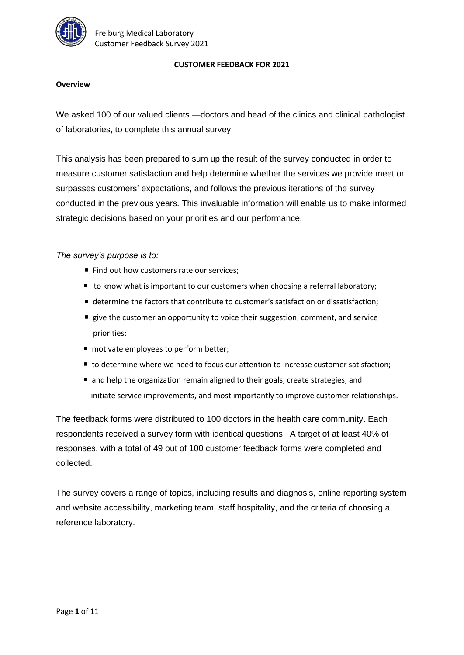

#### **CUSTOMER FEEDBACK FOR 2021**

#### **Overview**

We asked 100 of our valued clients - doctors and head of the clinics and clinical pathologist of laboratories, to complete this annual survey.

This analysis has been prepared to sum up the result of the survey conducted in order to measure customer satisfaction and help determine whether the services we provide meet or surpasses customers' expectations, and follows the previous iterations of the survey conducted in the previous years. This invaluable information will enable us to make informed strategic decisions based on your priorities and our performance.

*The survey's purpose is to:*

- Find out how customers rate our services;
- to know what is important to our customers when choosing a referral laboratory;
- determine the factors that contribute to customer's satisfaction or dissatisfaction;
- $\blacksquare$  give the customer an opportunity to voice their suggestion, comment, and service priorities;
- motivate employees to perform better;
- to determine where we need to focus our attention to increase customer satisfaction;
- nand help the organization remain aligned to their goals, create strategies, and initiate service improvements, and most importantly to improve customer relationships.

The feedback forms were distributed to 100 doctors in the health care community. Each respondents received a survey form with identical questions. A target of at least 40% of responses, with a total of 49 out of 100 customer feedback forms were completed and collected.

The survey covers a range of topics, including results and diagnosis, online reporting system and website accessibility, marketing team, staff hospitality, and the criteria of choosing a reference laboratory.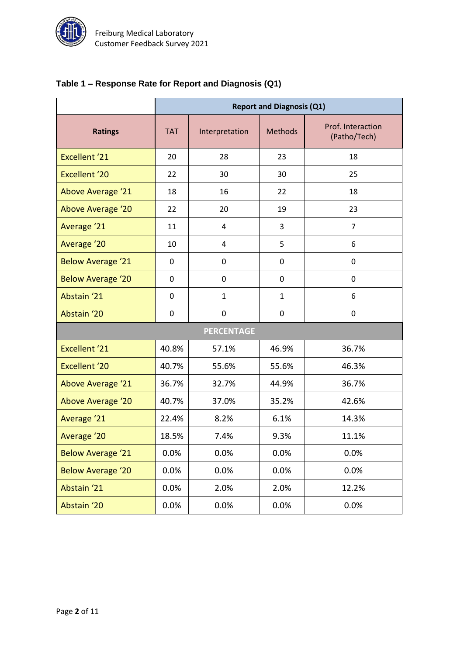

# **Table 1 – Response Rate for Report and Diagnosis (Q1)**

|                          | <b>Report and Diagnosis (Q1)</b> |                |                |                                   |  |  |
|--------------------------|----------------------------------|----------------|----------------|-----------------------------------|--|--|
| <b>Ratings</b>           | <b>TAT</b>                       | Interpretation | <b>Methods</b> | Prof. Interaction<br>(Patho/Tech) |  |  |
| Excellent '21            | 20                               | 28             | 23             | 18                                |  |  |
| <b>Excellent '20</b>     | 22                               | 30             | 30             | 25                                |  |  |
| Above Average '21        | 18                               | 16             | 22             | 18                                |  |  |
| Above Average '20        | 22                               | 20             | 19             | 23                                |  |  |
| Average '21              | 11                               | 4              | 3              | $\overline{7}$                    |  |  |
| Average '20              | 10                               | 4              | 5              | 6                                 |  |  |
| <b>Below Average '21</b> | 0                                | 0              | 0              | 0                                 |  |  |
| <b>Below Average '20</b> | 0                                | 0              | 0              | 0                                 |  |  |
| Abstain '21              | 0                                | $\mathbf{1}$   | $\mathbf{1}$   | 6                                 |  |  |
| Abstain '20              | 0                                | 0              | 0              | 0                                 |  |  |
| <b>PERCENTAGE</b>        |                                  |                |                |                                   |  |  |
| <b>Excellent '21</b>     | 40.8%                            | 57.1%          | 46.9%          | 36.7%                             |  |  |
| <b>Excellent '20</b>     | 40.7%                            | 55.6%          | 55.6%          | 46.3%                             |  |  |
| Above Average '21        | 36.7%                            | 32.7%          | 44.9%          | 36.7%                             |  |  |
| Above Average '20        | 40.7%                            | 37.0%          | 35.2%          | 42.6%                             |  |  |
| Average '21              | 22.4%                            | 8.2%           | 6.1%           | 14.3%                             |  |  |
| Average '20              | 18.5%                            | 7.4%           | 9.3%           | 11.1%                             |  |  |
| <b>Below Average '21</b> | 0.0%                             | 0.0%           | 0.0%           | 0.0%                              |  |  |
| <b>Below Average '20</b> | 0.0%                             | 0.0%           | 0.0%           | 0.0%                              |  |  |
| Abstain '21              | 0.0%                             | 2.0%           | 2.0%           | 12.2%                             |  |  |
| Abstain '20              | 0.0%                             | 0.0%           | 0.0%           | 0.0%                              |  |  |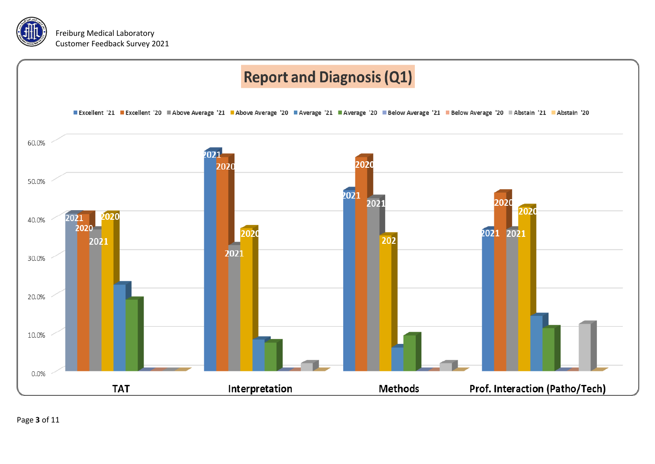



Excellent '21 Excellent '20 EAbove Average '21 EAbove Average '20 EAverage '21 EAverage '20 EBelow Average '21 EBelow Average '20 EAbstain '21 EAbstain '20



Page **3** of 11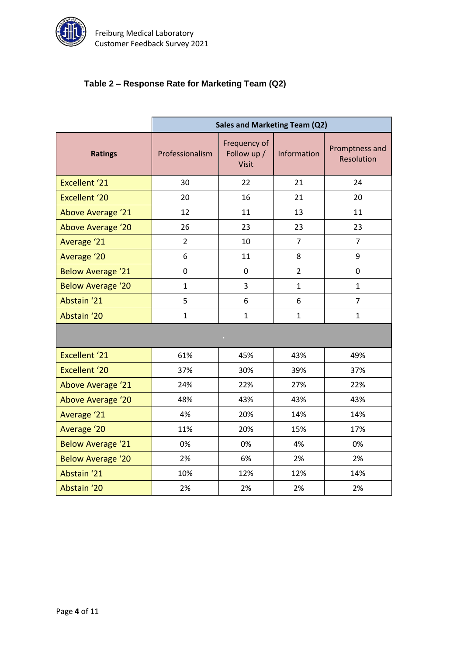

# **Table 2 – Response Rate for Marketing Team (Q2)**

|                          | Sales and Marketing Team (Q2) |                                      |                |                              |  |  |  |
|--------------------------|-------------------------------|--------------------------------------|----------------|------------------------------|--|--|--|
| <b>Ratings</b>           | Professionalism               | Frequency of<br>Follow up /<br>Visit | Information    | Promptness and<br>Resolution |  |  |  |
| <b>Excellent '21</b>     | 30                            | 22                                   | 21             | 24                           |  |  |  |
| <b>Excellent '20</b>     | 20                            | 16                                   | 21             | 20                           |  |  |  |
| <b>Above Average '21</b> | 12                            | 11                                   | 13             | 11                           |  |  |  |
| Above Average '20        | 26                            | 23                                   | 23             | 23                           |  |  |  |
| Average '21              | $\overline{2}$                | 10                                   | 7              | $\overline{7}$               |  |  |  |
| Average '20              | 6                             | 11                                   | 8              | 9                            |  |  |  |
| <b>Below Average '21</b> | 0                             | 0                                    | $\overline{2}$ | 0                            |  |  |  |
| <b>Below Average '20</b> | $\mathbf{1}$                  | 3                                    | $\mathbf{1}$   | $\mathbf{1}$                 |  |  |  |
| Abstain '21              | 5                             | 6                                    | 6              | $\overline{7}$               |  |  |  |
| Abstain '20              | $\mathbf{1}$                  | $\mathbf{1}$                         | $\mathbf{1}$   | $\mathbf{1}$                 |  |  |  |
| $\alpha$                 |                               |                                      |                |                              |  |  |  |
| <b>Excellent '21</b>     | 61%                           | 45%                                  | 43%            | 49%                          |  |  |  |
| <b>Excellent '20</b>     | 37%                           | 30%                                  | 39%            | 37%                          |  |  |  |
| <b>Above Average '21</b> | 24%                           | 22%                                  | 27%            | 22%                          |  |  |  |
| Above Average '20        | 48%                           | 43%                                  | 43%            | 43%                          |  |  |  |
| Average '21              | 4%                            | 20%                                  | 14%            | 14%                          |  |  |  |
| Average '20              | 11%                           | 20%                                  | 15%            | 17%                          |  |  |  |
| <b>Below Average '21</b> | 0%                            | 0%                                   | 4%             | 0%                           |  |  |  |
| <b>Below Average '20</b> | 2%                            | 6%                                   | 2%             | 2%                           |  |  |  |
| Abstain '21              | 10%                           | 12%                                  | 12%            | 14%                          |  |  |  |
| Abstain '20              | 2%                            | 2%                                   | 2%             | 2%                           |  |  |  |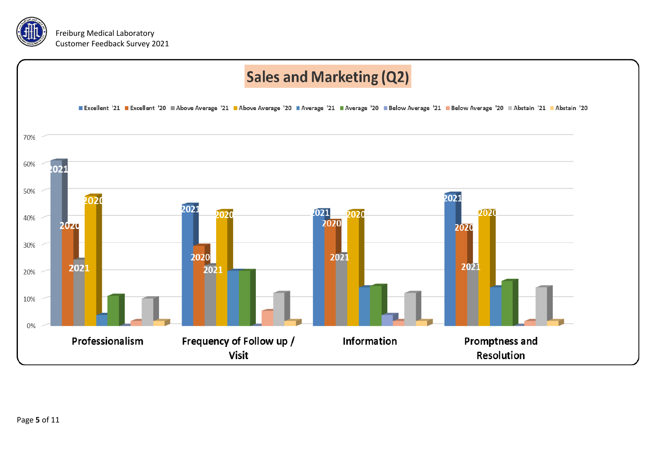



Page **5** of 11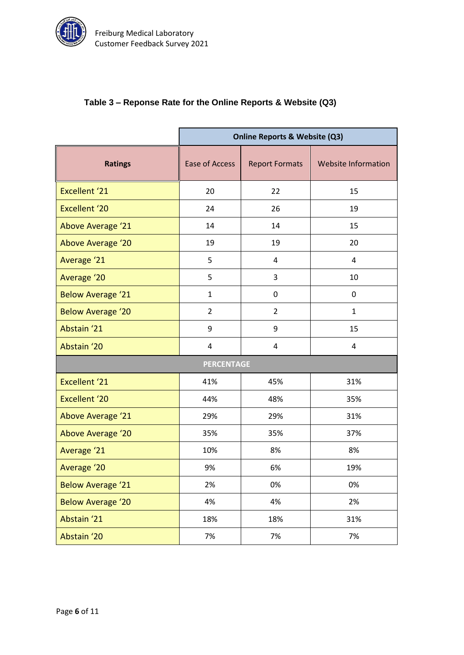

### **Table 3 – Reponse Rate for the Online Reports & Website (Q3)**

|                          | <b>Online Reports &amp; Website (Q3)</b> |                       |                            |  |  |
|--------------------------|------------------------------------------|-----------------------|----------------------------|--|--|
| <b>Ratings</b>           | <b>Ease of Access</b>                    | <b>Report Formats</b> | <b>Website Information</b> |  |  |
| <b>Excellent '21</b>     | 20                                       | 22                    | 15                         |  |  |
| <b>Excellent '20</b>     | 24                                       | 26                    | 19                         |  |  |
| Above Average '21        | 14                                       | 14                    | 15                         |  |  |
| Above Average '20        | 19                                       | 19                    | 20                         |  |  |
| Average '21              | 5                                        | 4                     | 4                          |  |  |
| Average '20              | 5                                        | 3                     | 10                         |  |  |
| <b>Below Average '21</b> | $\mathbf{1}$                             | 0                     | 0                          |  |  |
| <b>Below Average '20</b> | $\overline{2}$                           | 2                     | $\mathbf{1}$               |  |  |
| Abstain '21              | 9                                        | 9                     | 15                         |  |  |
| Abstain '20              | 4                                        | 4                     | 4                          |  |  |
| <b>PERCENTAGE</b>        |                                          |                       |                            |  |  |
| <b>Excellent '21</b>     | 41%                                      | 45%                   | 31%                        |  |  |
| <b>Excellent '20</b>     | 44%                                      | 48%                   | 35%                        |  |  |
| Above Average '21        | 29%                                      | 29%                   | 31%                        |  |  |
| Above Average '20        | 35%                                      | 35%                   | 37%                        |  |  |
| Average '21              | 10%                                      | 8%                    | 8%                         |  |  |
| Average '20              | 9%                                       | 6%                    | 19%                        |  |  |
| <b>Below Average '21</b> | 2%                                       | 0%                    | 0%                         |  |  |
| <b>Below Average '20</b> | 4%                                       | 4%                    | 2%                         |  |  |
| Abstain '21              | 18%                                      | 18%                   | 31%                        |  |  |
| Abstain '20              | 7%                                       | 7%                    | 7%                         |  |  |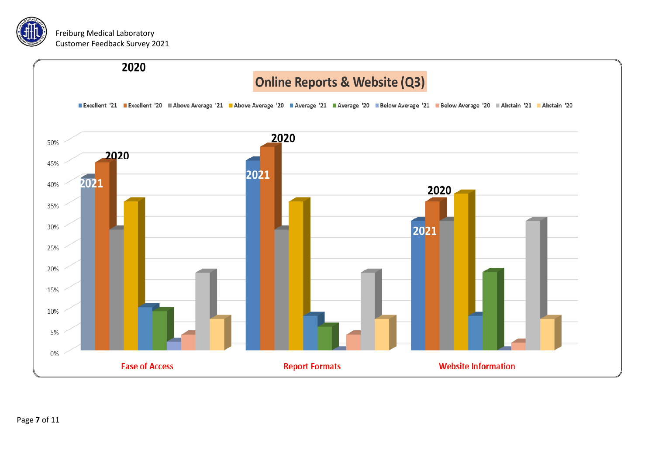

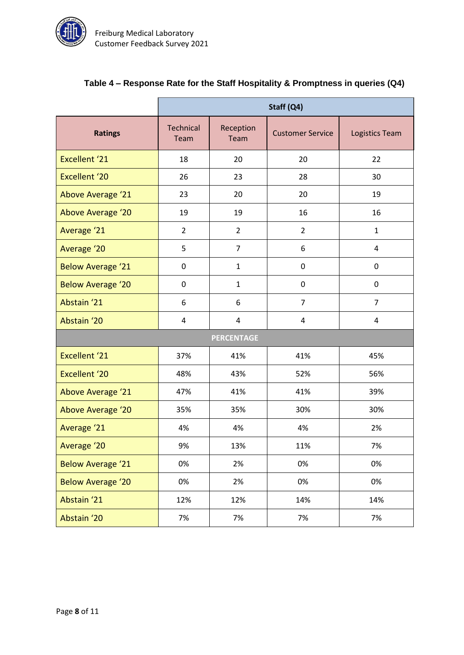

|                          | Staff (Q4)              |                                              |                |                |  |  |  |
|--------------------------|-------------------------|----------------------------------------------|----------------|----------------|--|--|--|
| <b>Ratings</b>           | Technical<br>Team       | Reception<br><b>Customer Service</b><br>Team |                | Logistics Team |  |  |  |
| Excellent '21            | 18                      | 20                                           | 20             | 22             |  |  |  |
| <b>Excellent '20</b>     | 26                      | 23                                           | 28             | 30             |  |  |  |
| <b>Above Average '21</b> | 23                      | 20                                           | 20             | 19             |  |  |  |
| Above Average '20        | 19                      | 19                                           | 16             | 16             |  |  |  |
| Average '21              | $\overline{2}$          | $\overline{2}$                               | $\overline{2}$ | $\mathbf{1}$   |  |  |  |
| Average '20              | 5                       | $\overline{7}$                               | 6              | 4              |  |  |  |
| <b>Below Average '21</b> | $\pmb{0}$               | $\mathbf{1}$                                 | $\mathbf 0$    | 0              |  |  |  |
| <b>Below Average '20</b> | $\pmb{0}$               | $\mathbf{1}$                                 | $\pmb{0}$      | $\mathbf 0$    |  |  |  |
| Abstain '21              | 6                       | 6                                            | $\overline{7}$ | $\overline{7}$ |  |  |  |
| Abstain '20              | $\overline{\mathbf{4}}$ | 4<br>4                                       |                | 4              |  |  |  |
| <b>PERCENTAGE</b>        |                         |                                              |                |                |  |  |  |
| <b>Excellent '21</b>     | 37%                     | 41%                                          | 41%            | 45%            |  |  |  |
| <b>Excellent '20</b>     | 48%                     | 43%                                          | 52%            | 56%            |  |  |  |
| <b>Above Average '21</b> | 47%                     | 41%                                          | 41%            | 39%            |  |  |  |
| Above Average '20        | 35%                     | 35%                                          | 30%            | 30%            |  |  |  |
| Average '21              | 4%                      | 4%                                           | 4%             | 2%             |  |  |  |
| Average '20              | 9%                      | 13%                                          | 11%            | 7%             |  |  |  |
| <b>Below Average '21</b> | 0%                      | 2%                                           | 0%             | 0%             |  |  |  |
| <b>Below Average '20</b> | 0%                      | 2%                                           | 0%             | 0%             |  |  |  |
| Abstain '21              | 12%                     | 12%                                          | 14%            | 14%            |  |  |  |
| Abstain '20              | 7%                      | 7%                                           | 7%             | 7%             |  |  |  |

# **Table 4 – Response Rate for the Staff Hospitality & Promptness in queries (Q4)**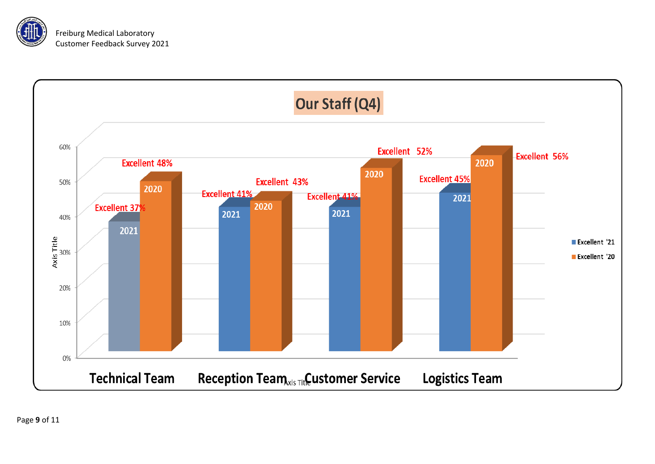

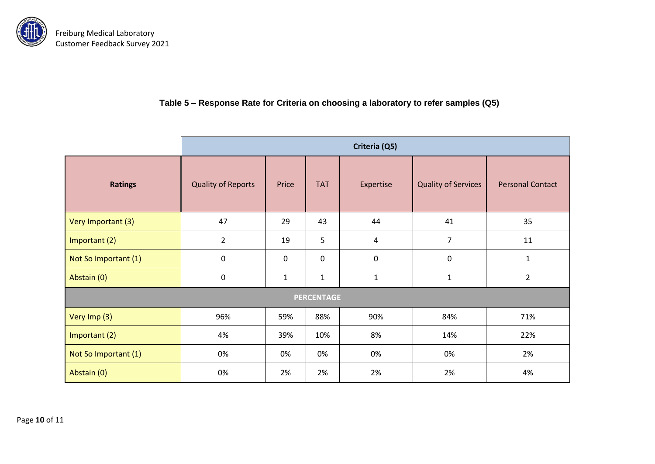

#### **Table 5 – Response Rate for Criteria on choosing a laboratory to refer samples (Q5)**

|                      | Criteria (Q5)             |              |              |              |                            |                         |
|----------------------|---------------------------|--------------|--------------|--------------|----------------------------|-------------------------|
| <b>Ratings</b>       | <b>Quality of Reports</b> | Price        | <b>TAT</b>   | Expertise    | <b>Quality of Services</b> | <b>Personal Contact</b> |
| Very Important (3)   | 47                        | 29           | 43           | 44           | 41                         | 35                      |
| Important (2)        | $\overline{2}$            | 19           | 5            | 4            | $\overline{7}$             | 11                      |
| Not So Important (1) | $\mathbf 0$               | $\mathbf 0$  | $\mathbf 0$  | 0            | $\mathbf 0$                | $\mathbf{1}$            |
| Abstain (0)          | $\pmb{0}$                 | $\mathbf{1}$ | $\mathbf{1}$ | $\mathbf{1}$ | $\mathbf 1$                | $\overline{2}$          |
| <b>PERCENTAGE</b>    |                           |              |              |              |                            |                         |
| Very Imp (3)         | 96%                       | 59%          | 88%          | 90%          | 84%                        | 71%                     |
| Important (2)        | 4%                        | 39%          | 10%          | 8%           | 14%                        | 22%                     |
| Not So Important (1) | 0%                        | 0%           | 0%           | 0%           | 0%                         | 2%                      |
| Abstain (0)          | 0%                        | 2%           | 2%           | 2%           | 2%                         | 4%                      |